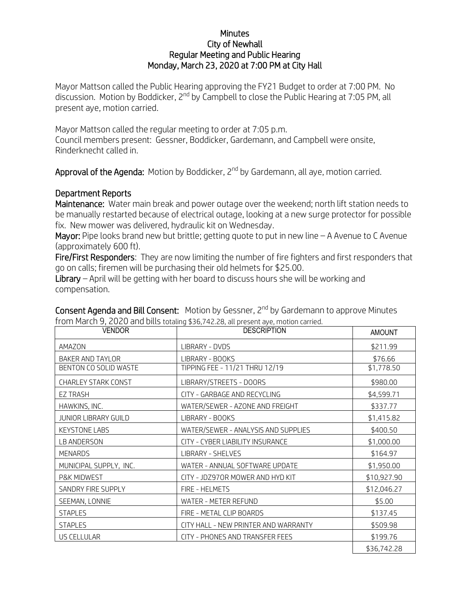## **Minutes** City of Newhall Regular Meeting and Public Hearing Monday, March 23, 2020 at 7:00 PM at City Hall

Mayor Mattson called the Public Hearing approving the FY21 Budget to order at 7:00 PM. No discussion. Motion by Boddicker, 2<sup>nd</sup> by Campbell to close the Public Hearing at 7:05 PM, all present aye, motion carried.

Mayor Mattson called the regular meeting to order at 7:05 p.m. Council members present: Gessner, Boddicker, Gardemann, and Campbell were onsite, Rinderknecht called in.

Approval of the Agenda: Motion by Boddicker, 2<sup>nd</sup> by Gardemann, all aye, motion carried.

## Department Reports

Maintenance: Water main break and power outage over the weekend; north lift station needs to be manually restarted because of electrical outage, looking at a new surge protector for possible fix. New mower was delivered, hydraulic kit on Wednesday.

Mayor: Pipe looks brand new but brittle; getting quote to put in new line  $-$  A Avenue to C Avenue (approximately 600 ft).

Fire/First Responders: They are now limiting the number of fire fighters and first responders that go on calls; firemen will be purchasing their old helmets for \$25.00.

Library – April will be getting with her board to discuss hours she will be working and compensation.

| <b>VENDOR</b>               | <b>DESCRIPTION</b>                   | <b>AMOUNT</b> |
|-----------------------------|--------------------------------------|---------------|
| AMAZON                      | LIBRARY - DVDS                       | \$211.99      |
| BAKER AND TAYLOR            | LIBRARY - BOOKS                      | \$76.66       |
| BENTON CO SOLID WASTE       | TIPPING FEE - 11/21 THRU 12/19       | \$1,778.50    |
| CHARLEY STARK CONST         | LIBRARY/STREETS - DOORS              | \$980.00      |
| <b>EZ TRASH</b>             | CITY - GARBAGE AND RECYCLING         | \$4,599.71    |
| HAWKINS, INC.               | WATER/SEWER - AZONE AND FREIGHT      | \$337.77      |
| <b>JUNIOR LIBRARY GUILD</b> | LIBRARY - BOOKS                      | \$1,415.82    |
| <b>KEYSTONE LABS</b>        | WATER/SEWER - ANALYSIS AND SUPPLIES  | \$400.50      |
| LB ANDERSON                 | CITY - CYBER LIABILITY INSURANCE     | \$1,000.00    |
| MENARDS                     | LIBRARY - SHELVES                    | \$164.97      |
| MUNICIPAL SUPPLY, INC.      | WATER - ANNUAL SOFTWARE UPDATE       | \$1,950.00    |
| P&K MIDWEST                 | CITY - JDZ970R MOWER AND HYD KIT     | \$10,927.90   |
| SANDRY FIRE SUPPLY          | FIRE - HELMETS                       | \$12,046.27   |
| SEEMAN, LONNIE              | WATER - METER REFUND                 | \$5.00        |
| <b>STAPLES</b>              | FIRE - METAL CLIP BOARDS             | \$137.45      |
| <b>STAPLES</b>              | CITY HALL - NEW PRINTER AND WARRANTY | \$509.98      |
| US CELLULAR                 | CITY - PHONES AND TRANSFER FEES      | \$199.76      |
|                             |                                      | \$36,742.28   |

Consent Agenda and Bill Consent: Motion by Gessner, 2<sup>nd</sup> by Gardemann to approve Minutes from March 9, 2020 and bills totaling \$36,742.28, all present aye, motion carried.